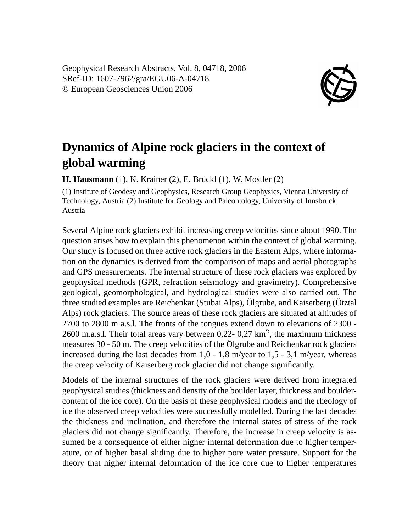Geophysical Research Abstracts, Vol. 8, 04718, 2006 SRef-ID: 1607-7962/gra/EGU06-A-04718 © European Geosciences Union 2006



## **Dynamics of Alpine rock glaciers in the context of global warming**

**H. Hausmann** (1), K. Krainer (2), E. Brückl (1), W. Mostler (2)

(1) Institute of Geodesy and Geophysics, Research Group Geophysics, Vienna University of Technology, Austria (2) Institute for Geology and Paleontology, University of Innsbruck, Austria

Several Alpine rock glaciers exhibit increasing creep velocities since about 1990. The question arises how to explain this phenomenon within the context of global warming. Our study is focused on three active rock glaciers in the Eastern Alps, where information on the dynamics is derived from the comparison of maps and aerial photographs and GPS measurements. The internal structure of these rock glaciers was explored by geophysical methods (GPR, refraction seismology and gravimetry). Comprehensive geological, geomorphological, and hydrological studies were also carried out. The three studied examples are Reichenkar (Stubai Alps), Ölgrube, and Kaiserberg (Ötztal Alps) rock glaciers. The source areas of these rock glaciers are situated at altitudes of 2700 to 2800 m a.s.l. The fronts of the tongues extend down to elevations of 2300 - 2600 m.a.s.l. Their total areas vary between  $0,22$ -  $0,27$  km<sup>2</sup>, the maximum thickness measures 30 - 50 m. The creep velocities of the Ölgrube and Reichenkar rock glaciers increased during the last decades from  $1,0 - 1,8$  m/year to  $1,5 - 3,1$  m/year, whereas the creep velocity of Kaiserberg rock glacier did not change significantly.

Models of the internal structures of the rock glaciers were derived from integrated geophysical studies (thickness and density of the boulder layer, thickness and bouldercontent of the ice core). On the basis of these geophysical models and the rheology of ice the observed creep velocities were successfully modelled. During the last decades the thickness and inclination, and therefore the internal states of stress of the rock glaciers did not change significantly. Therefore, the increase in creep velocity is assumed be a consequence of either higher internal deformation due to higher temperature, or of higher basal sliding due to higher pore water pressure. Support for the theory that higher internal deformation of the ice core due to higher temperatures